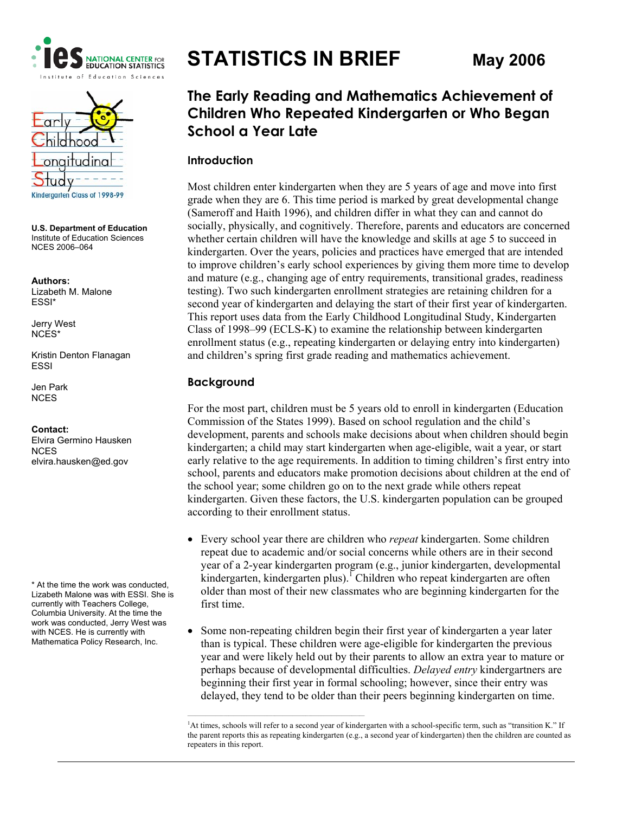



**U.S. Department of Education**  Institute of Education Sciences NCES 2006–064

**Authors:**  Lizabeth M. Malone ESSI\*

Jerry West NCES\*

Kristin Denton Flanagan ESSI

Jen Park NCES

**Contact:**  Elvira Germino Hausken **NCES** elvira.hausken@ed.gov

\* At the time the work was conducted, Lizabeth Malone was with ESSI. She is currently with Teachers College, Columbia University. At the time the work was conducted, Jerry West was with NCES. He is currently with Mathematica Policy Research, Inc.

# **STATISTICS IN BRIEF May 2006**

# **The Early Reading and Mathematics Achievement of Children Who Repeated Kindergarten or Who Began School a Year Late**

#### **Introduction**

Most children enter kindergarten when they are 5 years of age and move into first grade when they are 6. This time period is marked by great developmental change (Sameroff and Haith 1996), and children differ in what they can and cannot do socially, physically, and cognitively. Therefore, parents and educators are concerned whether certain children will have the knowledge and skills at age 5 to succeed in kindergarten. Over the years, policies and practices have emerged that are intended to improve children's early school experiences by giving them more time to develop and mature (e.g., changing age of entry requirements, transitional grades, readiness testing). Two such kindergarten enrollment strategies are retaining children for a second year of kindergarten and delaying the start of their first year of kindergarten. This report uses data from the Early Childhood Longitudinal Study, Kindergarten Class of 1998–99 (ECLS-K) to examine the relationship between kindergarten enrollment status (e.g., repeating kindergarten or delaying entry into kindergarten) and children's spring first grade reading and mathematics achievement.

## **Background**

For the most part, children must be 5 years old to enroll in kindergarten (Education Commission of the States 1999). Based on school regulation and the child's development, parents and schools make decisions about when children should begin kindergarten; a child may start kindergarten when age-eligible, wait a year, or start early relative to the age requirements. In addition to timing children's first entry into school, parents and educators make promotion decisions about children at the end of the school year; some children go on to the next grade while others repeat kindergarten. Given these factors, the U.S. kindergarten population can be grouped according to their enrollment status.

- Every school year there are children who *repeat* kindergarten. Some children repeat due to academic and/or social concerns while others are in their second year of a 2-year kindergarten program (e.g., junior kindergarten, developmental kindergarten, kindergarten plus).<sup>1</sup> Children who repeat kindergarten are often older than most of their new classmates who are beginning kindergarten for the first time.
- Some non-repeating children begin their first year of kindergarten a year later than is typical. These children were age-eligible for kindergarten the previous year and were likely held out by their parents to allow an extra year to mature or perhaps because of developmental difficulties. *Delayed entry* kindergartners are beginning their first year in formal schooling; however, since their entry was delayed, they tend to be older than their peers beginning kindergarten on time.

<sup>&</sup>lt;sup>1</sup>At times, schools will refer to a second year of kindergarten with a school-specific term, such as "transition K." If the parent reports this as repeating kindergarten (e.g., a second year of kindergarten) then the children are counted as repeaters in this report.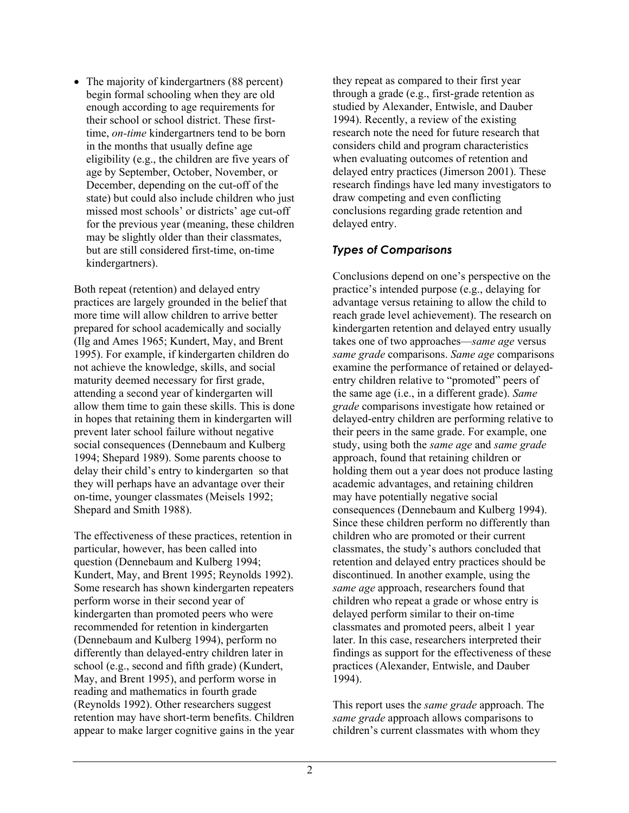• The majority of kindergartners (88 percent) begin formal schooling when they are old enough according to age requirements for their school or school district. These firsttime, *on-time* kindergartners tend to be born in the months that usually define age eligibility (e.g., the children are five years of age by September, October, November, or December, depending on the cut-off of the state) but could also include children who just missed most schools' or districts' age cut-off for the previous year (meaning, these children may be slightly older than their classmates, but are still considered first-time, on-time kindergartners).

Both repeat (retention) and delayed entry practices are largely grounded in the belief that more time will allow children to arrive better prepared for school academically and socially (Ilg and Ames 1965; Kundert, May, and Brent 1995). For example, if kindergarten children do not achieve the knowledge, skills, and social maturity deemed necessary for first grade, attending a second year of kindergarten will allow them time to gain these skills. This is done in hopes that retaining them in kindergarten will prevent later school failure without negative social consequences (Dennebaum and Kulberg 1994; Shepard 1989). Some parents choose to delay their child's entry to kindergarten so that they will perhaps have an advantage over their on-time, younger classmates (Meisels 1992; Shepard and Smith 1988).

The effectiveness of these practices, retention in particular, however, has been called into question (Dennebaum and Kulberg 1994; Kundert, May, and Brent 1995; Reynolds 1992). Some research has shown kindergarten repeaters perform worse in their second year of kindergarten than promoted peers who were recommended for retention in kindergarten (Dennebaum and Kulberg 1994), perform no differently than delayed-entry children later in school (e.g., second and fifth grade) (Kundert, May, and Brent 1995), and perform worse in reading and mathematics in fourth grade (Reynolds 1992). Other researchers suggest retention may have short-term benefits. Children appear to make larger cognitive gains in the year

they repeat as compared to their first year through a grade (e.g., first-grade retention as studied by Alexander, Entwisle, and Dauber 1994). Recently, a review of the existing research note the need for future research that considers child and program characteristics when evaluating outcomes of retention and delayed entry practices (Jimerson 2001). These research findings have led many investigators to draw competing and even conflicting conclusions regarding grade retention and delayed entry.

## *Types of Comparisons*

Conclusions depend on one's perspective on the practice's intended purpose (e.g., delaying for advantage versus retaining to allow the child to reach grade level achievement). The research on kindergarten retention and delayed entry usually takes one of two approaches—*same age* versus *same grade* comparisons. *Same age* comparisons examine the performance of retained or delayedentry children relative to "promoted" peers of the same age (i.e., in a different grade). *Same grade* comparisons investigate how retained or delayed-entry children are performing relative to their peers in the same grade. For example, one study, using both the *same age* and *same grade* approach, found that retaining children or holding them out a year does not produce lasting academic advantages, and retaining children may have potentially negative social consequences (Dennebaum and Kulberg 1994). Since these children perform no differently than children who are promoted or their current classmates, the study's authors concluded that retention and delayed entry practices should be discontinued. In another example, using the *same age* approach, researchers found that children who repeat a grade or whose entry is delayed perform similar to their on-time classmates and promoted peers, albeit 1 year later. In this case, researchers interpreted their findings as support for the effectiveness of these practices (Alexander, Entwisle, and Dauber 1994).

This report uses the *same grade* approach. The *same grade* approach allows comparisons to children's current classmates with whom they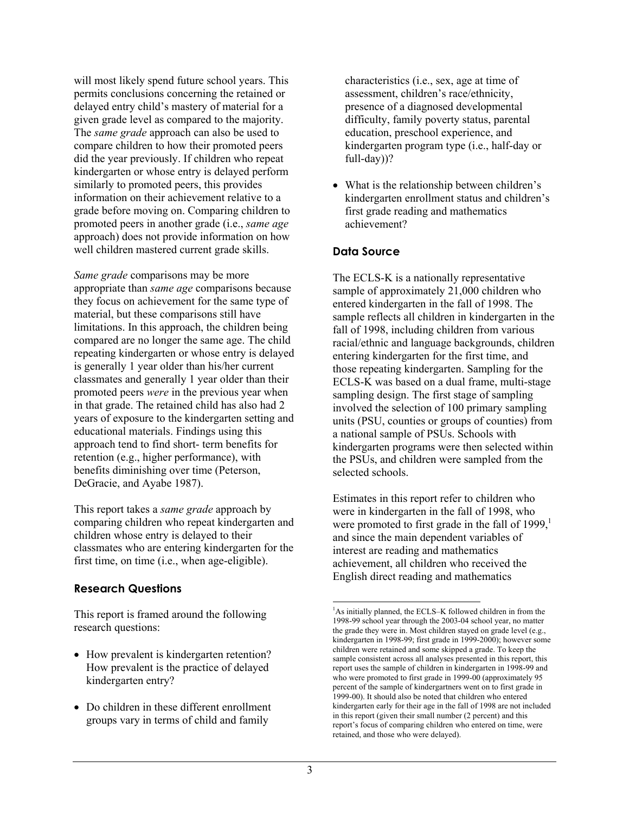will most likely spend future school years. This permits conclusions concerning the retained or delayed entry child's mastery of material for a given grade level as compared to the majority. The *same grade* approach can also be used to compare children to how their promoted peers did the year previously. If children who repeat kindergarten or whose entry is delayed perform similarly to promoted peers, this provides information on their achievement relative to a grade before moving on. Comparing children to promoted peers in another grade (i.e., *same age* approach) does not provide information on how well children mastered current grade skills.

*Same grade* comparisons may be more appropriate than *same age* comparisons because they focus on achievement for the same type of material, but these comparisons still have limitations. In this approach, the children being compared are no longer the same age. The child repeating kindergarten or whose entry is delayed is generally 1 year older than his/her current classmates and generally 1 year older than their promoted peers *were* in the previous year when in that grade. The retained child has also had 2 years of exposure to the kindergarten setting and educational materials. Findings using this approach tend to find short- term benefits for retention (e.g., higher performance), with benefits diminishing over time (Peterson, DeGracie, and Ayabe 1987).

This report takes a *same grade* approach by comparing children who repeat kindergarten and children whose entry is delayed to their classmates who are entering kindergarten for the first time, on time (i.e., when age-eligible).

## **Research Questions**

This report is framed around the following research questions:

- How prevalent is kindergarten retention? How prevalent is the practice of delayed kindergarten entry?
- Do children in these different enrollment groups vary in terms of child and family

characteristics (i.e., sex, age at time of assessment, children's race/ethnicity, presence of a diagnosed developmental difficulty, family poverty status, parental education, preschool experience, and kindergarten program type (i.e., half-day or full-day))?

• What is the relationship between children's kindergarten enrollment status and children's first grade reading and mathematics achievement?

## **Data Source**

The ECLS-K is a nationally representative sample of approximately 21,000 children who entered kindergarten in the fall of 1998. The sample reflects all children in kindergarten in the fall of 1998, including children from various racial/ethnic and language backgrounds, children entering kindergarten for the first time, and those repeating kindergarten. Sampling for the ECLS-K was based on a dual frame, multi-stage sampling design. The first stage of sampling involved the selection of 100 primary sampling units (PSU, counties or groups of counties) from a national sample of PSUs. Schools with kindergarten programs were then selected within the PSUs, and children were sampled from the selected schools.

Estimates in this report refer to children who were in kindergarten in the fall of 1998, who were promoted to first grade in the fall of  $1999<sup>1</sup>$ and since the main dependent variables of interest are reading and mathematics achievement, all children who received the English direct reading and mathematics

1

<sup>&</sup>lt;sup>1</sup>As initially planned, the ECLS–K followed children in from the 1998-99 school year through the 2003-04 school year, no matter the grade they were in. Most children stayed on grade level (e.g., kindergarten in 1998-99; first grade in 1999-2000); however some children were retained and some skipped a grade. To keep the sample consistent across all analyses presented in this report, this report uses the sample of children in kindergarten in 1998-99 and who were promoted to first grade in 1999-00 (approximately 95 percent of the sample of kindergartners went on to first grade in 1999-00). It should also be noted that children who entered kindergarten early for their age in the fall of 1998 are not included in this report (given their small number (2 percent) and this report's focus of comparing children who entered on time, were retained, and those who were delayed).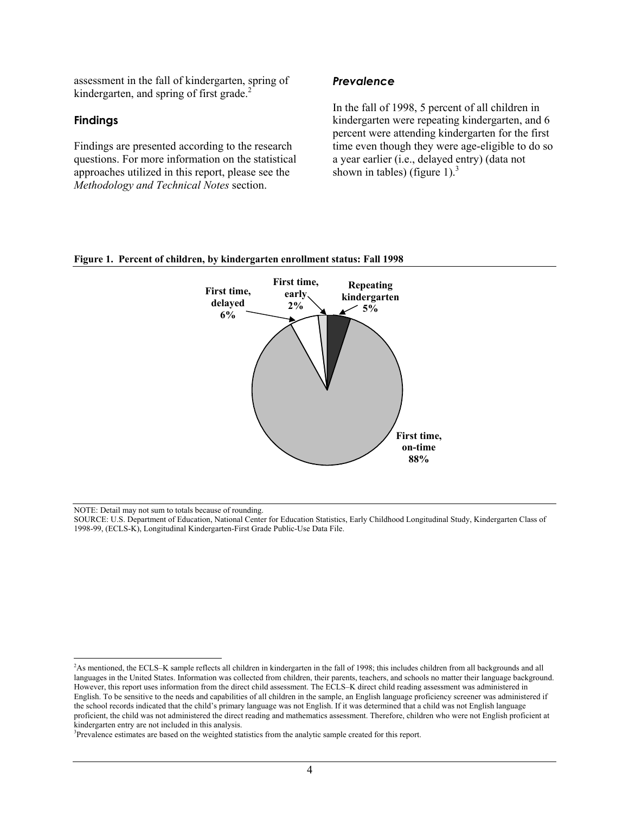assessment in the fall of kindergarten, spring of kindergarten, and spring of first grade.<sup>2</sup>

#### **Findings**

Findings are presented according to the research questions. For more information on the statistical approaches utilized in this report, please see the *Methodology and Technical Notes* section.

#### *Prevalence*

In the fall of 1998, 5 percent of all children in kindergarten were repeating kindergarten, and 6 percent were attending kindergarten for the first time even though they were age-eligible to do so a year earlier (i.e., delayed entry) (data not shown in tables) (figure 1). $3$ 

#### **Figure 1. Percent of children, by kindergarten enrollment status: Fall 1998**



NOTE: Detail may not sum to totals because of rounding.

l

<sup>&</sup>lt;sup>2</sup>As mentioned, the ECLS–K sample reflects all children in kindergarten in the fall of 1998; this includes children from all backgrounds and all languages in the United States. Information was collected from children, their parents, teachers, and schools no matter their language background. However, this report uses information from the direct child assessment. The ECLS–K direct child reading assessment was administered in English. To be sensitive to the needs and capabilities of all children in the sample, an English language proficiency screener was administered if the school records indicated that the child's primary language was not English. If it was determined that a child was not English language proficient, the child was not administered the direct reading and mathematics assessment. Therefore, children who were not English proficient at kindergarten entry are not included in this analysis.

<sup>&</sup>lt;sup>3</sup>Prevalence estimates are based on the weighted statistics from the analytic sample created for this report.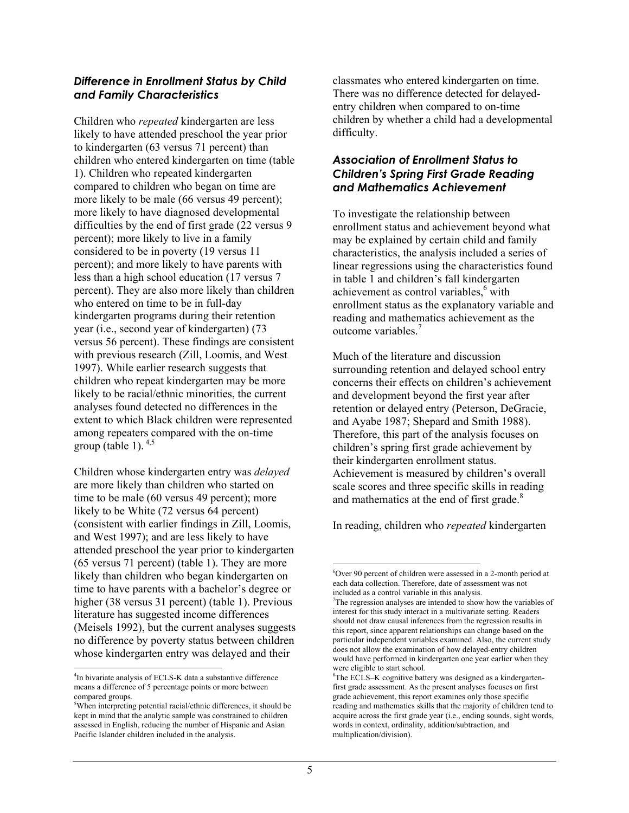#### *Difference in Enrollment Status by Child and Family Characteristics*

Children who *repeated* kindergarten are less likely to have attended preschool the year prior to kindergarten (63 versus 71 percent) than children who entered kindergarten on time (table 1). Children who repeated kindergarten compared to children who began on time are more likely to be male (66 versus 49 percent); more likely to have diagnosed developmental difficulties by the end of first grade (22 versus 9 percent); more likely to live in a family considered to be in poverty (19 versus 11 percent); and more likely to have parents with less than a high school education (17 versus 7 percent). They are also more likely than children who entered on time to be in full-day kindergarten programs during their retention year (i.e., second year of kindergarten) (73 versus 56 percent). These findings are consistent with previous research (Zill, Loomis, and West 1997). While earlier research suggests that children who repeat kindergarten may be more likely to be racial/ethnic minorities, the current analyses found detected no differences in the extent to which Black children were represented among repeaters compared with the on-time group (table 1).  $4,5$ 

Children whose kindergarten entry was *delayed*  are more likely than children who started on time to be male (60 versus 49 percent); more likely to be White (72 versus 64 percent) (consistent with earlier findings in Zill, Loomis, and West 1997); and are less likely to have attended preschool the year prior to kindergarten (65 versus 71 percent) (table 1). They are more likely than children who began kindergarten on time to have parents with a bachelor's degree or higher (38 versus 31 percent) (table 1). Previous literature has suggested income differences (Meisels 1992), but the current analyses suggests no difference by poverty status between children whose kindergarten entry was delayed and their

l

classmates who entered kindergarten on time. There was no difference detected for delayedentry children when compared to on-time children by whether a child had a developmental difficulty.

## *Association of Enrollment Status to Children's Spring First Grade Reading and Mathematics Achievement*

To investigate the relationship between enrollment status and achievement beyond what may be explained by certain child and family characteristics, the analysis included a series of linear regressions using the characteristics found in table 1 and children's fall kindergarten achievement as control variables,<sup>6</sup> with enrollment status as the explanatory variable and reading and mathematics achievement as the outcome variables.<sup>7</sup>

Much of the literature and discussion surrounding retention and delayed school entry concerns their effects on children's achievement and development beyond the first year after retention or delayed entry (Peterson, DeGracie, and Ayabe 1987; Shepard and Smith 1988). Therefore, this part of the analysis focuses on children's spring first grade achievement by their kindergarten enrollment status. Achievement is measured by children's overall scale scores and three specific skills in reading and mathematics at the end of first grade.<sup>8</sup>

In reading, children who *repeated* kindergarten

<sup>&</sup>lt;sup>4</sup>In bivariate analysis of ECLS-K data a substantive difference means a difference of 5 percentage points or more between compared groups.

<sup>5</sup> When interpreting potential racial/ethnic differences, it should be kept in mind that the analytic sample was constrained to children assessed in English, reducing the number of Hispanic and Asian Pacific Islander children included in the analysis.

<sup>1</sup> 6 Over 90 percent of children were assessed in a 2-month period at each data collection. Therefore, date of assessment was not included as a control variable in this analysis.

<sup>&</sup>lt;sup>7</sup>The regression analyses are intended to show how the variables of interest for this study interact in a multivariate setting. Readers should not draw causal inferences from the regression results in this report, since apparent relationships can change based on the particular independent variables examined. Also, the current study does not allow the examination of how delayed-entry children would have performed in kindergarten one year earlier when they were eligible to start school.

 ${}^{8}$ The ECLS–K cognitive battery was designed as a kindergartenfirst grade assessment. As the present analyses focuses on first grade achievement, this report examines only those specific reading and mathematics skills that the majority of children tend to acquire across the first grade year (i.e., ending sounds, sight words, words in context, ordinality, addition/subtraction, and multiplication/division).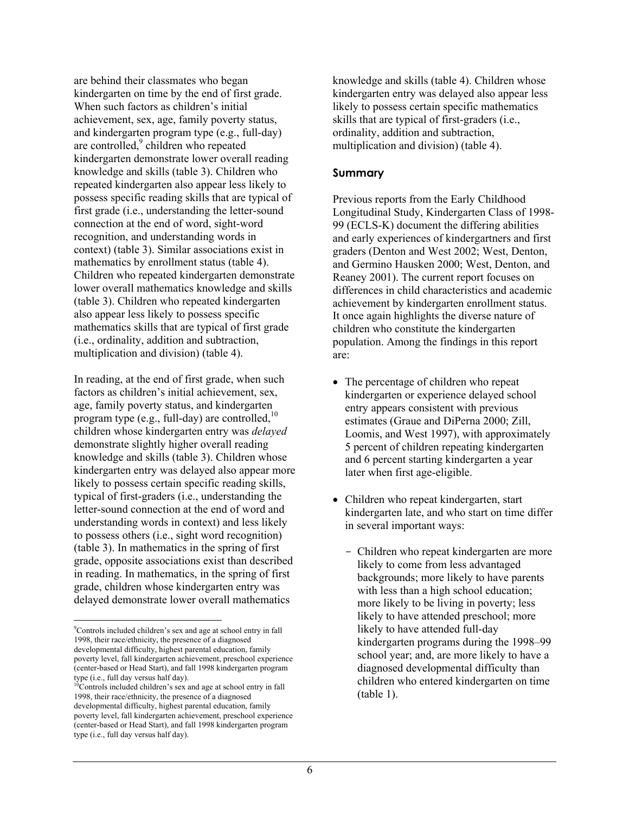are behind their classmates who began kindergarten on time by the end of first grade. When such factors as children's initial achievement, sex, age, family poverty status, and kindergarten program type (e.g., full-day) are controlled,<sup>9</sup> children who repeated kindergarten demonstrate lower overall reading knowledge and skills (table 3). Children who repeated kindergarten also appear less likely to possess specific reading skills that are typical of first grade (i.e., understanding the letter-sound connection at the end of word, sight-word recognition, and understanding words in context) (table 3). Similar associations exist in mathematics by enrollment status (table 4). Children who repeated kindergarten demonstrate lower overall mathematics knowledge and skills (table 3). Children who repeated kindergarten also appear less likely to possess specific mathematics skills that are typical of first grade (i.e., ordinality, addition and subtraction, multiplication and division) (table 4).

In reading, at the end of first grade, when such factors as children's initial achievement, sex, age, family poverty status, and kindergarten program type (e.g., full-day) are controlled.<sup>10</sup> children whose kindergarten entry was *delayed* demonstrate slightly higher overall reading knowledge and skills (table 3). Children whose kindergarten entry was delayed also appear more likely to possess certain specific reading skills, typical of first-graders (i.e., understanding the letter-sound connection at the end of word and understanding words in context) and less likely to possess others (i.e., sight word recognition) (table 3). In mathematics in the spring of first grade, opposite associations exist than described in reading. In mathematics, in the spring of first grade, children whose kindergarten entry was delayed demonstrate lower overall mathematics

knowledge and skills (table 4). Children whose kindergarten entry was delayed also appear less likely to possess certain specific mathematics skills that are typical of first-graders (i.e., ordinality, addition and subtraction, multiplication and division) (table 4).

#### **Summary**

Previous reports from the Early Childhood Longitudinal Study, Kindergarten Class of 1998- 99 (ECLS-K) document the differing abilities and early experiences of kindergartners and first graders (Denton and West 2002; West, Denton, and Germino Hausken 2000; West, Denton, and Reaney 2001). The current report focuses on differences in child characteristics and academic achievement by kindergarten enrollment status. It once again highlights the diverse nature of children who constitute the kindergarten population. Among the findings in this report are:

- The percentage of children who repeat kindergarten or experience delayed school entry appears consistent with previous estimates (Graue and DiPerna 2000; Zill, Loomis, and West 1997), with approximately 5 percent of children repeating kindergarten and 6 percent starting kindergarten a year later when first age-eligible.
- Children who repeat kindergarten, start kindergarten late, and who start on time differ in several important ways:
	- Children who repeat kindergarten are more likely to come from less advantaged backgrounds; more likely to have parents with less than a high school education; more likely to be living in poverty; less likely to have attended preschool; more likely to have attended full-day kindergarten programs during the 1998–99 school year; and, are more likely to have a diagnosed developmental difficulty than children who entered kindergarten on time (table 1).

 9 Controls included children's sex and age at school entry in fall 1998, their race/ethnicity, the presence of a diagnosed developmental difficulty, highest parental education, family poverty level, fall kindergarten achievement, preschool experience (center-based or Head Start), and fall 1998 kindergarten program type (i.e., full day versus half day).

<sup>&</sup>lt;sup>10</sup>Controls included children's sex and age at school entry in fall 1998, their race/ethnicity, the presence of a diagnosed developmental difficulty, highest parental education, family poverty level, fall kindergarten achievement, preschool experience (center-based or Head Start), and fall 1998 kindergarten program type (i.e., full day versus half day).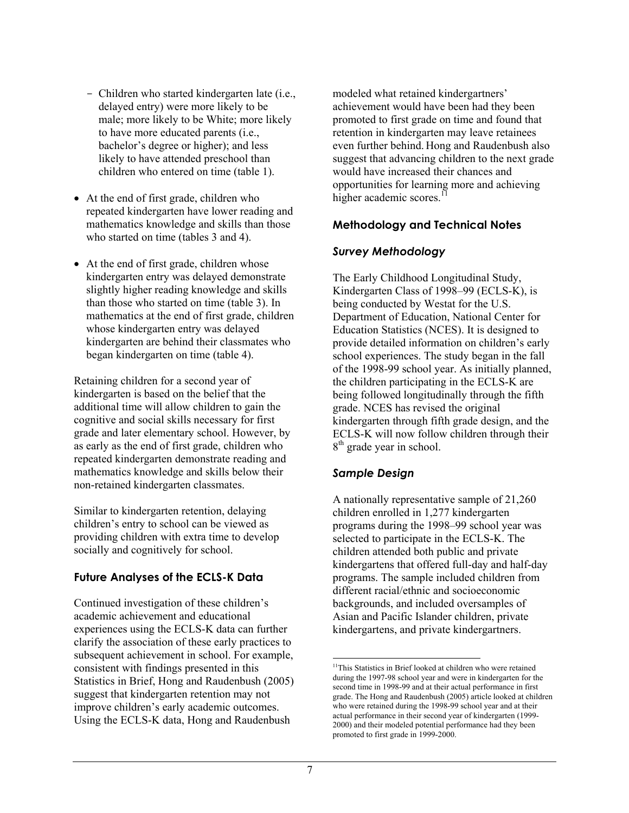- Children who started kindergarten late (i.e., delayed entry) were more likely to be male; more likely to be White; more likely to have more educated parents (i.e., bachelor's degree or higher); and less likely to have attended preschool than children who entered on time (table 1).
- At the end of first grade, children who repeated kindergarten have lower reading and mathematics knowledge and skills than those who started on time (tables 3 and 4).
- At the end of first grade, children whose kindergarten entry was delayed demonstrate slightly higher reading knowledge and skills than those who started on time (table 3). In mathematics at the end of first grade, children whose kindergarten entry was delayed kindergarten are behind their classmates who began kindergarten on time (table 4).

Retaining children for a second year of kindergarten is based on the belief that the additional time will allow children to gain the cognitive and social skills necessary for first grade and later elementary school. However, by as early as the end of first grade, children who repeated kindergarten demonstrate reading and mathematics knowledge and skills below their non-retained kindergarten classmates.

Similar to kindergarten retention, delaying children's entry to school can be viewed as providing children with extra time to develop socially and cognitively for school.

## **Future Analyses of the ECLS-K Data**

Continued investigation of these children's academic achievement and educational experiences using the ECLS-K data can further clarify the association of these early practices to subsequent achievement in school. For example, consistent with findings presented in this Statistics in Brief, Hong and Raudenbush (2005) suggest that kindergarten retention may not improve children's early academic outcomes. Using the ECLS-K data, Hong and Raudenbush

modeled what retained kindergartners' achievement would have been had they been promoted to first grade on time and found that retention in kindergarten may leave retainees even further behind. Hong and Raudenbush also suggest that advancing children to the next grade would have increased their chances and opportunities for learning more and achieving higher academic scores.<sup>11</sup>

# **Methodology and Technical Notes**

# *Survey Methodology*

The Early Childhood Longitudinal Study, Kindergarten Class of 1998–99 (ECLS-K), is being conducted by Westat for the U.S. Department of Education, National Center for Education Statistics (NCES). It is designed to provide detailed information on children's early school experiences. The study began in the fall of the 1998-99 school year. As initially planned, the children participating in the ECLS-K are being followed longitudinally through the fifth grade. NCES has revised the original kindergarten through fifth grade design, and the ECLS-K will now follow children through their 8<sup>th</sup> grade year in school.

# *Sample Design*

A nationally representative sample of 21,260 children enrolled in 1,277 kindergarten programs during the 1998–99 school year was selected to participate in the ECLS-K. The children attended both public and private kindergartens that offered full-day and half-day programs. The sample included children from different racial/ethnic and socioeconomic backgrounds, and included oversamples of Asian and Pacific Islander children, private kindergartens, and private kindergartners.

<sup>1</sup> <sup>11</sup>This Statistics in Brief looked at children who were retained during the 1997-98 school year and were in kindergarten for the second time in 1998-99 and at their actual performance in first grade. The Hong and Raudenbush (2005) article looked at children who were retained during the 1998-99 school year and at their actual performance in their second year of kindergarten (1999- 2000) and their modeled potential performance had they been promoted to first grade in 1999-2000.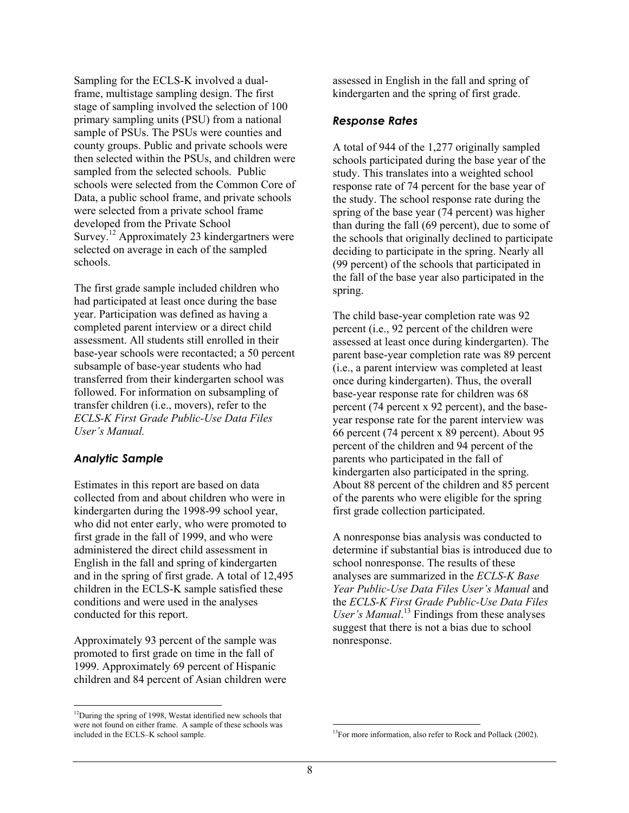Sampling for the ECLS-K involved a dualframe, multistage sampling design. The first stage of sampling involved the selection of 100 primary sampling units (PSU) from a national sample of PSUs. The PSUs were counties and county groups. Public and private schools were then selected within the PSUs, and children were sampled from the selected schools. Public schools were selected from the Common Core of Data, a public school frame, and private schools were selected from a private school frame developed from the Private School Survey.<sup>12</sup> Approximately 23 kindergartners were selected on average in each of the sampled schools.

The first grade sample included children who had participated at least once during the base year. Participation was defined as having a completed parent interview or a direct child assessment. All students still enrolled in their base-year schools were recontacted; a 50 percent subsample of base-year students who had transferred from their kindergarten school was followed. For information on subsampling of transfer children (i.e., movers), refer to the *ECLS-K First Grade Public-Use Data Files User's Manual.* 

#### *Analytic Sample*

l

Estimates in this report are based on data collected from and about children who were in kindergarten during the 1998-99 school year, who did not enter early, who were promoted to first grade in the fall of 1999, and who were administered the direct child assessment in English in the fall and spring of kindergarten and in the spring of first grade. A total of 12,495 children in the ECLS-K sample satisfied these conditions and were used in the analyses conducted for this report.

Approximately 93 percent of the sample was promoted to first grade on time in the fall of 1999. Approximately 69 percent of Hispanic children and 84 percent of Asian children were assessed in English in the fall and spring of kindergarten and the spring of first grade.

#### *Response Rates*

A total of 944 of the 1,277 originally sampled schools participated during the base year of the study. This translates into a weighted school response rate of 74 percent for the base year of the study. The school response rate during the spring of the base year (74 percent) was higher than during the fall (69 percent), due to some of the schools that originally declined to participate deciding to participate in the spring. Nearly all (99 percent) of the schools that participated in the fall of the base year also participated in the spring.

The child base-year completion rate was 92 percent (i.e., 92 percent of the children were assessed at least once during kindergarten). The parent base-year completion rate was 89 percent (i.e., a parent interview was completed at least once during kindergarten). Thus, the overall base-year response rate for children was 68 percent (74 percent x 92 percent), and the baseyear response rate for the parent interview was 66 percent (74 percent x 89 percent). About 95 percent of the children and 94 percent of the parents who participated in the fall of kindergarten also participated in the spring. About 88 percent of the children and 85 percent of the parents who were eligible for the spring first grade collection participated.

A nonresponse bias analysis was conducted to determine if substantial bias is introduced due to school nonresponse. The results of these analyses are summarized in the *ECLS-K Base Year Public-Use Data Files User's Manual* and the *ECLS-K First Grade Public-Use Data Files*  User's Manual.<sup>13</sup> Findings from these analyses suggest that there is not a bias due to school nonresponse.

 $12$ During the spring of 1998, Westat identified new schools that were not found on either frame. A sample of these schools was included in the ECLS–K school sample.

<sup>1</sup> <sup>13</sup>For more information, also refer to Rock and Pollack (2002).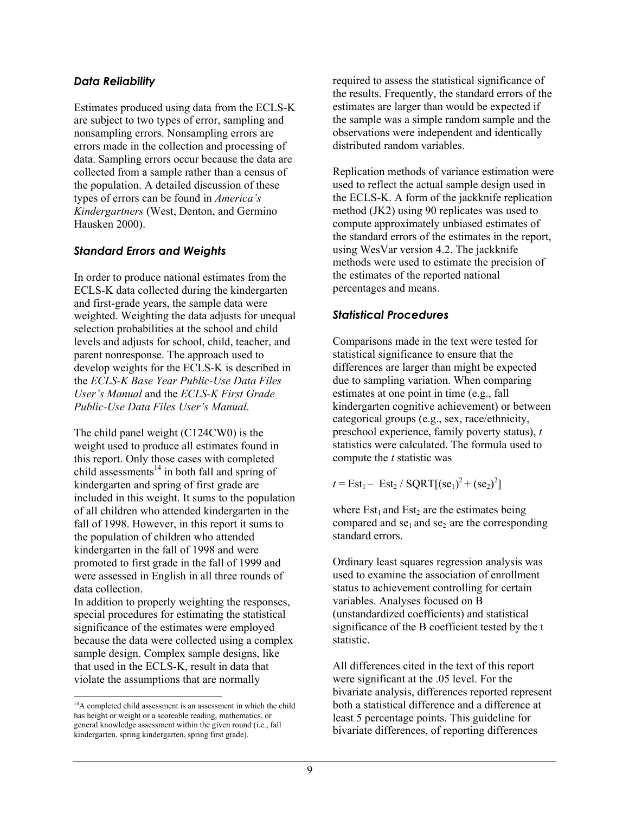#### *Data Reliability*

Estimates produced using data from the ECLS-K are subject to two types of error, sampling and nonsampling errors. Nonsampling errors are errors made in the collection and processing of data. Sampling errors occur because the data are collected from a sample rather than a census of the population. A detailed discussion of these types of errors can be found in *America's Kindergartners* (West, Denton, and Germino Hausken 2000).

## *Standard Errors and Weights*

In order to produce national estimates from the ECLS-K data collected during the kindergarten and first-grade years, the sample data were weighted. Weighting the data adjusts for unequal selection probabilities at the school and child levels and adjusts for school, child, teacher, and parent nonresponse. The approach used to develop weights for the ECLS-K is described in the *ECLS-K Base Year Public-Use Data Files User's Manual* and the *ECLS-K First Grade Public-Use Data Files User's Manual*.

The child panel weight (C124CW0) is the weight used to produce all estimates found in this report. Only those cases with completed child assessments<sup>14</sup> in both fall and spring of kindergarten and spring of first grade are included in this weight. It sums to the population of all children who attended kindergarten in the fall of 1998. However, in this report it sums to the population of children who attended kindergarten in the fall of 1998 and were promoted to first grade in the fall of 1999 and were assessed in English in all three rounds of data collection.

In addition to properly weighting the responses, special procedures for estimating the statistical significance of the estimates were employed because the data were collected using a complex sample design. Complex sample designs, like that used in the ECLS-K, result in data that violate the assumptions that are normally

l

required to assess the statistical significance of the results. Frequently, the standard errors of the estimates are larger than would be expected if the sample was a simple random sample and the observations were independent and identically distributed random variables.

Replication methods of variance estimation were used to reflect the actual sample design used in the ECLS-K. A form of the jackknife replication method (JK2) using 90 replicates was used to compute approximately unbiased estimates of the standard errors of the estimates in the report, using WesVar version 4.2. The jackknife methods were used to estimate the precision of the estimates of the reported national percentages and means.

## *Statistical Procedures*

Comparisons made in the text were tested for statistical significance to ensure that the differences are larger than might be expected due to sampling variation. When comparing estimates at one point in time (e.g., fall kindergarten cognitive achievement) or between categorical groups (e.g., sex, race/ethnicity, preschool experience, family poverty status), *t* statistics were calculated. The formula used to compute the *t* statistic was

 $t = \text{Est}_1 - \text{Est}_2 / \text{SQRT}[(\text{se}_1)^2 + (\text{se}_2)^2]$ 

where  $Est_1$  and  $Est_2$  are the estimates being compared and  $se_1$  and  $se_2$  are the corresponding standard errors.

Ordinary least squares regression analysis was used to examine the association of enrollment status to achievement controlling for certain variables. Analyses focused on B (unstandardized coefficients) and statistical significance of the B coefficient tested by the t statistic.

All differences cited in the text of this report were significant at the .05 level. For the bivariate analysis, differences reported represent both a statistical difference and a difference at least 5 percentage points. This guideline for bivariate differences, of reporting differences

<sup>&</sup>lt;sup>14</sup>A completed child assessment is an assessment in which the child has height or weight or a scoreable reading, mathematics, or general knowledge assessment within the given round (i.e., fall kindergarten, spring kindergarten, spring first grade).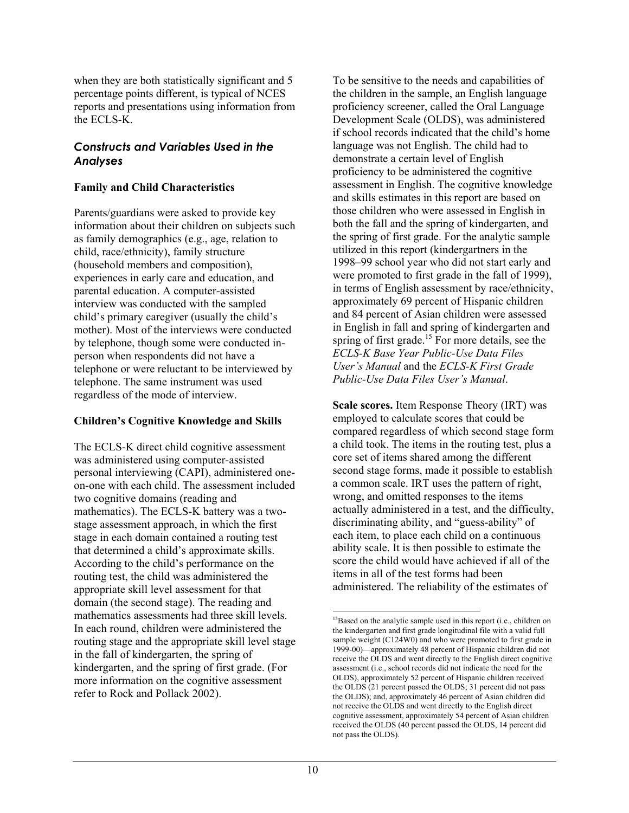when they are both statistically significant and 5 percentage points different, is typical of NCES reports and presentations using information from the ECLS-K.

#### *Constructs and Variables Used in the Analyses*

#### **Family and Child Characteristics**

Parents/guardians were asked to provide key information about their children on subjects such as family demographics (e.g., age, relation to child, race/ethnicity), family structure (household members and composition), experiences in early care and education, and parental education. A computer-assisted interview was conducted with the sampled child's primary caregiver (usually the child's mother). Most of the interviews were conducted by telephone, though some were conducted inperson when respondents did not have a telephone or were reluctant to be interviewed by telephone. The same instrument was used regardless of the mode of interview.

## **Children's Cognitive Knowledge and Skills**

The ECLS-K direct child cognitive assessment was administered using computer-assisted personal interviewing (CAPI), administered oneon-one with each child. The assessment included two cognitive domains (reading and mathematics). The ECLS-K battery was a twostage assessment approach, in which the first stage in each domain contained a routing test that determined a child's approximate skills. According to the child's performance on the routing test, the child was administered the appropriate skill level assessment for that domain (the second stage). The reading and mathematics assessments had three skill levels. In each round, children were administered the routing stage and the appropriate skill level stage in the fall of kindergarten, the spring of kindergarten, and the spring of first grade. (For more information on the cognitive assessment refer to Rock and Pollack 2002).

To be sensitive to the needs and capabilities of the children in the sample, an English language proficiency screener, called the Oral Language Development Scale (OLDS), was administered if school records indicated that the child's home language was not English. The child had to demonstrate a certain level of English proficiency to be administered the cognitive assessment in English. The cognitive knowledge and skills estimates in this report are based on those children who were assessed in English in both the fall and the spring of kindergarten, and the spring of first grade. For the analytic sample utilized in this report (kindergartners in the 1998–99 school year who did not start early and were promoted to first grade in the fall of 1999), in terms of English assessment by race/ethnicity, approximately 69 percent of Hispanic children and 84 percent of Asian children were assessed in English in fall and spring of kindergarten and spring of first grade.<sup>15</sup> For more details, see the *ECLS-K Base Year Public-Use Data Files User's Manual* and the *ECLS-K First Grade Public-Use Data Files User's Manual*.

**Scale scores.** Item Response Theory (IRT) was employed to calculate scores that could be compared regardless of which second stage form a child took. The items in the routing test, plus a core set of items shared among the different second stage forms, made it possible to establish a common scale. IRT uses the pattern of right, wrong, and omitted responses to the items actually administered in a test, and the difficulty, discriminating ability, and "guess-ability" of each item, to place each child on a continuous ability scale. It is then possible to estimate the score the child would have achieved if all of the items in all of the test forms had been administered. The reliability of the estimates of

l

<sup>&</sup>lt;sup>15</sup>Based on the analytic sample used in this report (i.e., children on the kindergarten and first grade longitudinal file with a valid full sample weight (C124W0) and who were promoted to first grade in 1999-00)—approximately 48 percent of Hispanic children did not receive the OLDS and went directly to the English direct cognitive assessment (i.e., school records did not indicate the need for the OLDS), approximately 52 percent of Hispanic children received the OLDS (21 percent passed the OLDS; 31 percent did not pass the OLDS); and, approximately 46 percent of Asian children did not receive the OLDS and went directly to the English direct cognitive assessment, approximately 54 percent of Asian children received the OLDS (40 percent passed the OLDS, 14 percent did not pass the OLDS).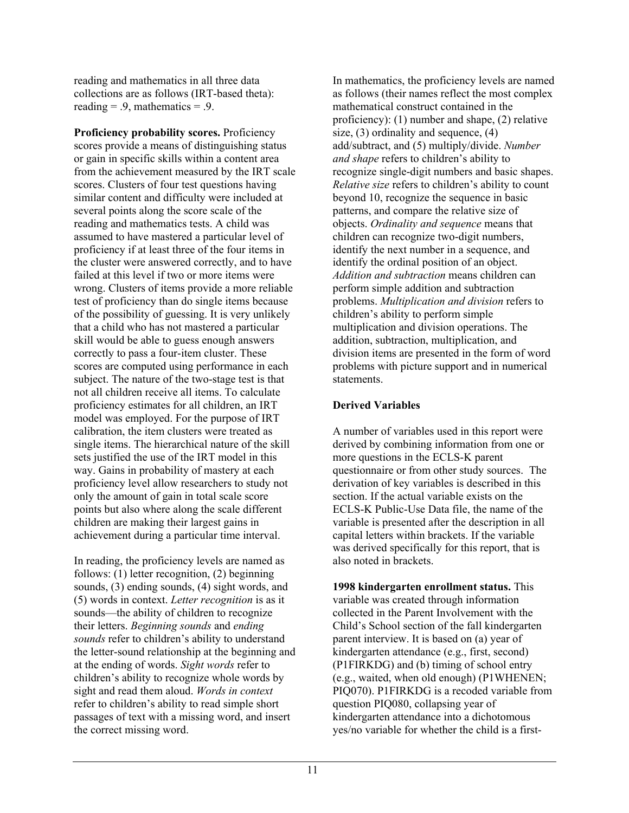reading and mathematics in all three data collections are as follows (IRT-based theta): reading  $= .9$ , mathematics  $= .9$ .

**Proficiency probability scores.** Proficiency scores provide a means of distinguishing status or gain in specific skills within a content area from the achievement measured by the IRT scale scores. Clusters of four test questions having similar content and difficulty were included at several points along the score scale of the reading and mathematics tests. A child was assumed to have mastered a particular level of proficiency if at least three of the four items in the cluster were answered correctly, and to have failed at this level if two or more items were wrong. Clusters of items provide a more reliable test of proficiency than do single items because of the possibility of guessing. It is very unlikely that a child who has not mastered a particular skill would be able to guess enough answers correctly to pass a four-item cluster. These scores are computed using performance in each subject. The nature of the two-stage test is that not all children receive all items. To calculate proficiency estimates for all children, an IRT model was employed. For the purpose of IRT calibration, the item clusters were treated as single items. The hierarchical nature of the skill sets justified the use of the IRT model in this way. Gains in probability of mastery at each proficiency level allow researchers to study not only the amount of gain in total scale score points but also where along the scale different children are making their largest gains in achievement during a particular time interval.

In reading, the proficiency levels are named as follows: (1) letter recognition, (2) beginning sounds, (3) ending sounds, (4) sight words, and (5) words in context. *Letter recognition* is as it sounds—the ability of children to recognize their letters. *Beginning sounds* and *ending sounds* refer to children's ability to understand the letter-sound relationship at the beginning and at the ending of words. *Sight words* refer to children's ability to recognize whole words by sight and read them aloud. *Words in context* refer to children's ability to read simple short passages of text with a missing word, and insert the correct missing word.

In mathematics, the proficiency levels are named as follows (their names reflect the most complex mathematical construct contained in the proficiency): (1) number and shape, (2) relative size, (3) ordinality and sequence, (4) add/subtract, and (5) multiply/divide. *Number and shape* refers to children's ability to recognize single-digit numbers and basic shapes. *Relative size* refers to children's ability to count beyond 10, recognize the sequence in basic patterns, and compare the relative size of objects. *Ordinality and sequence* means that children can recognize two-digit numbers, identify the next number in a sequence, and identify the ordinal position of an object. *Addition and subtraction* means children can perform simple addition and subtraction problems. *Multiplication and division* refers to children's ability to perform simple multiplication and division operations. The addition, subtraction, multiplication, and division items are presented in the form of word problems with picture support and in numerical statements.

#### **Derived Variables**

A number of variables used in this report were derived by combining information from one or more questions in the ECLS-K parent questionnaire or from other study sources. The derivation of key variables is described in this section. If the actual variable exists on the ECLS-K Public-Use Data file, the name of the variable is presented after the description in all capital letters within brackets. If the variable was derived specifically for this report, that is also noted in brackets.

**1998 kindergarten enrollment status.** This variable was created through information collected in the Parent Involvement with the Child's School section of the fall kindergarten parent interview. It is based on (a) year of kindergarten attendance (e.g., first, second) (P1FIRKDG) and (b) timing of school entry (e.g., waited, when old enough) (P1WHENEN; PIQ070). P1FIRKDG is a recoded variable from question PIQ080, collapsing year of kindergarten attendance into a dichotomous yes/no variable for whether the child is a first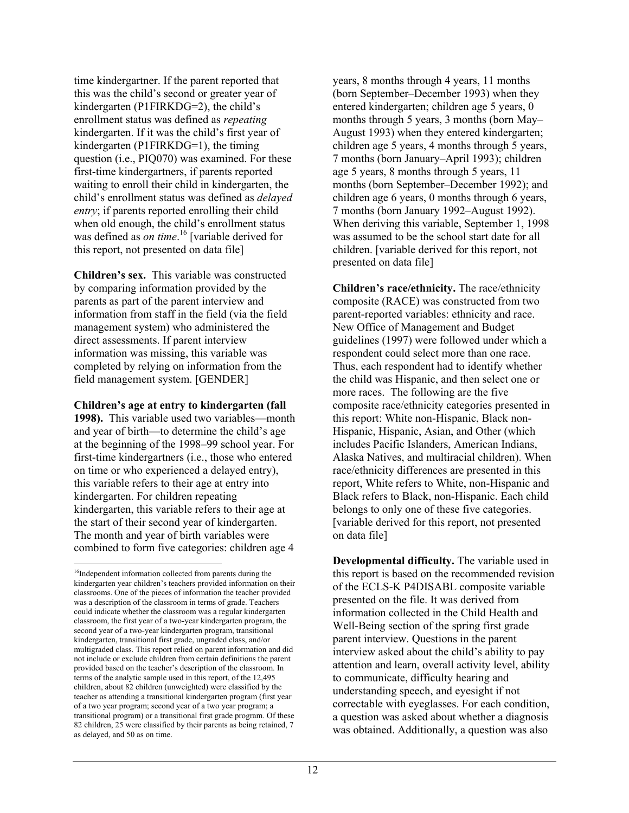time kindergartner. If the parent reported that this was the child's second or greater year of kindergarten (P1FIRKDG=2), the child's enrollment status was defined as *repeating* kindergarten. If it was the child's first year of kindergarten (P1FIRKDG=1), the timing question (i.e., PIQ070) was examined. For these first-time kindergartners, if parents reported waiting to enroll their child in kindergarten, the child's enrollment status was defined as *delayed entry*; if parents reported enrolling their child when old enough, the child's enrollment status was defined as *on time*. 16 [variable derived for this report, not presented on data file]

**Children's sex.**This variable was constructed by comparing information provided by the parents as part of the parent interview and information from staff in the field (via the field management system) who administered the direct assessments. If parent interview information was missing, this variable was completed by relying on information from the field management system. [GENDER]

#### **Children's age at entry to kindergarten (fall**

**1998).** This variable used two variables—month and year of birth—to determine the child's age at the beginning of the 1998–99 school year. For first-time kindergartners (i.e., those who entered on time or who experienced a delayed entry), this variable refers to their age at entry into kindergarten. For children repeating kindergarten, this variable refers to their age at the start of their second year of kindergarten. The month and year of birth variables were combined to form five categories: children age 4

1

years, 8 months through 4 years, 11 months (born September–December 1993) when they entered kindergarten; children age 5 years, 0 months through 5 years, 3 months (born May– August 1993) when they entered kindergarten; children age 5 years, 4 months through 5 years, 7 months (born January–April 1993); children age 5 years, 8 months through 5 years, 11 months (born September–December 1992); and children age 6 years, 0 months through 6 years, 7 months (born January 1992–August 1992). When deriving this variable, September 1, 1998 was assumed to be the school start date for all children. [variable derived for this report, not presented on data file]

**Children's race/ethnicity.** The race/ethnicity composite (RACE) was constructed from two parent-reported variables: ethnicity and race. New Office of Management and Budget guidelines (1997) were followed under which a respondent could select more than one race. Thus, each respondent had to identify whether the child was Hispanic, and then select one or more races. The following are the five composite race/ethnicity categories presented in this report: White non-Hispanic, Black non-Hispanic, Hispanic, Asian, and Other (which includes Pacific Islanders, American Indians, Alaska Natives, and multiracial children). When race/ethnicity differences are presented in this report, White refers to White, non-Hispanic and Black refers to Black, non-Hispanic. Each child belongs to only one of these five categories. [variable derived for this report, not presented on data file]

**Developmental difficulty.** The variable used in this report is based on the recommended revision of the ECLS-K P4DISABL composite variable presented on the file. It was derived from information collected in the Child Health and Well-Being section of the spring first grade parent interview. Questions in the parent interview asked about the child's ability to pay attention and learn, overall activity level, ability to communicate, difficulty hearing and understanding speech, and eyesight if not correctable with eyeglasses. For each condition, a question was asked about whether a diagnosis was obtained. Additionally, a question was also

<sup>&</sup>lt;sup>16</sup>Independent information collected from parents during the kindergarten year children's teachers provided information on their classrooms. One of the pieces of information the teacher provided was a description of the classroom in terms of grade. Teachers could indicate whether the classroom was a regular kindergarten classroom, the first year of a two-year kindergarten program, the second year of a two-year kindergarten program, transitional kindergarten, transitional first grade, ungraded class, and/or multigraded class. This report relied on parent information and did not include or exclude children from certain definitions the parent provided based on the teacher's description of the classroom. In terms of the analytic sample used in this report, of the 12,495 children, about 82 children (unweighted) were classified by the teacher as attending a transitional kindergarten program (first year of a two year program; second year of a two year program; a transitional program) or a transitional first grade program. Of these 82 children, 25 were classified by their parents as being retained, 7 as delayed, and 50 as on time.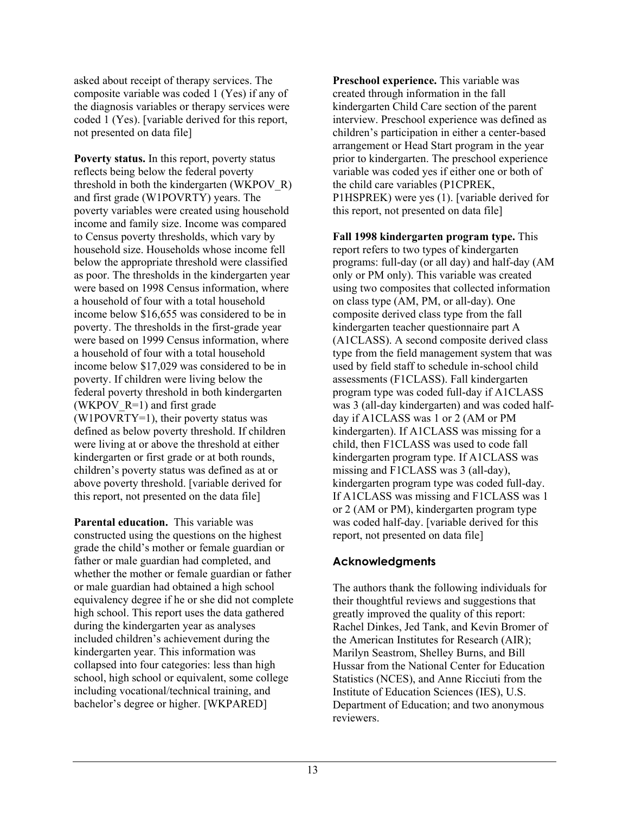asked about receipt of therapy services. The composite variable was coded 1 (Yes) if any of the diagnosis variables or therapy services were coded 1 (Yes). [variable derived for this report, not presented on data file]

**Poverty status.** In this report, poverty status reflects being below the federal poverty threshold in both the kindergarten (WKPOV\_R) and first grade (W1POVRTY) years. The poverty variables were created using household income and family size. Income was compared to Census poverty thresholds, which vary by household size. Households whose income fell below the appropriate threshold were classified as poor. The thresholds in the kindergarten year were based on 1998 Census information, where a household of four with a total household income below \$16,655 was considered to be in poverty. The thresholds in the first-grade year were based on 1999 Census information, where a household of four with a total household income below \$17,029 was considered to be in poverty. If children were living below the federal poverty threshold in both kindergarten (WKPOV  $R=1$ ) and first grade (W1POVRTY=1), their poverty status was defined as below poverty threshold. If children were living at or above the threshold at either kindergarten or first grade or at both rounds, children's poverty status was defined as at or above poverty threshold. [variable derived for this report, not presented on the data file]

**Parental education.** This variable was constructed using the questions on the highest grade the child's mother or female guardian or father or male guardian had completed, and whether the mother or female guardian or father or male guardian had obtained a high school equivalency degree if he or she did not complete high school. This report uses the data gathered during the kindergarten year as analyses included children's achievement during the kindergarten year. This information was collapsed into four categories: less than high school, high school or equivalent, some college including vocational/technical training, and bachelor's degree or higher. [WKPARED]

**Preschool experience.** This variable was created through information in the fall kindergarten Child Care section of the parent interview. Preschool experience was defined as children's participation in either a center-based arrangement or Head Start program in the year prior to kindergarten. The preschool experience variable was coded yes if either one or both of the child care variables (P1CPREK, P1HSPREK) were yes (1). [variable derived for this report, not presented on data file]

**Fall 1998 kindergarten program type.** This report refers to two types of kindergarten programs: full-day (or all day) and half-day (AM only or PM only). This variable was created using two composites that collected information on class type (AM, PM, or all-day). One composite derived class type from the fall kindergarten teacher questionnaire part A (A1CLASS). A second composite derived class type from the field management system that was used by field staff to schedule in-school child assessments (F1CLASS). Fall kindergarten program type was coded full-day if A1CLASS was 3 (all-day kindergarten) and was coded halfday if A1CLASS was 1 or 2 (AM or PM kindergarten). If A1CLASS was missing for a child, then F1CLASS was used to code fall kindergarten program type. If A1CLASS was missing and F1CLASS was 3 (all-day), kindergarten program type was coded full-day. If A1CLASS was missing and F1CLASS was 1 or 2 (AM or PM), kindergarten program type was coded half-day. [variable derived for this report, not presented on data file]

## **Acknowledgments**

The authors thank the following individuals for their thoughtful reviews and suggestions that greatly improved the quality of this report: Rachel Dinkes, Jed Tank, and Kevin Bromer of the American Institutes for Research (AIR); Marilyn Seastrom, Shelley Burns, and Bill Hussar from the National Center for Education Statistics (NCES), and Anne Ricciuti from the Institute of Education Sciences (IES), U.S. Department of Education; and two anonymous reviewers.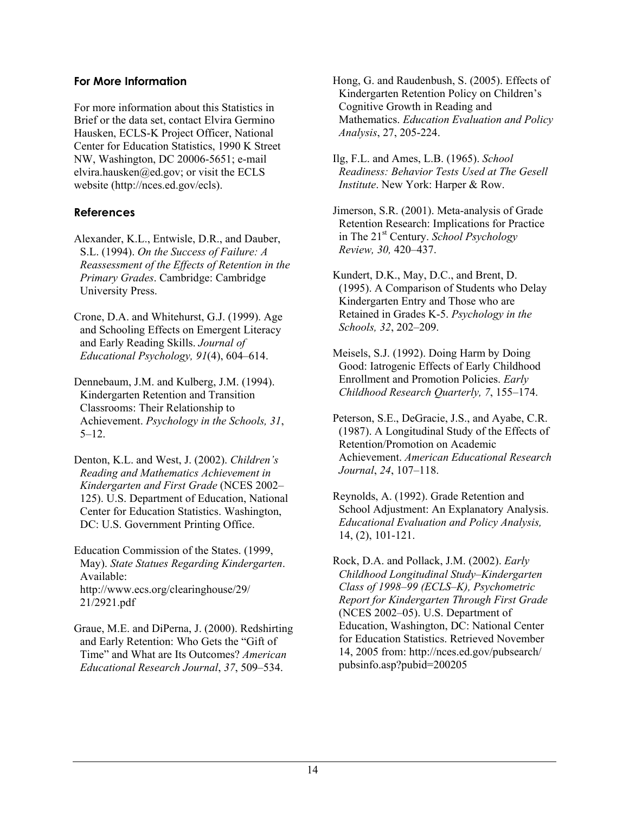#### **For More Information**

For more information about this Statistics in Brief or the data set, contact Elvira Germino Hausken, ECLS-K Project Officer, National Center for Education Statistics, 1990 K Street NW, Washington, DC 20006-5651; e-mail elvira.hausken@ed.gov; or visit the ECLS website (http://nces.ed.gov/ecls).

## **References**

- Alexander, K.L., Entwisle, D.R., and Dauber, S.L. (1994). *On the Success of Failure: A Reassessment of the Effects of Retention in the Primary Grades*. Cambridge: Cambridge University Press.
- Crone, D.A. and Whitehurst, G.J. (1999). Age and Schooling Effects on Emergent Literacy and Early Reading Skills. *Journal of Educational Psychology, 91*(4), 604–614.
- Dennebaum, J.M. and Kulberg, J.M. (1994). Kindergarten Retention and Transition Classrooms: Their Relationship to Achievement. *Psychology in the Schools, 31*, 5–12.
- Denton, K.L. and West, J. (2002). *Children's Reading and Mathematics Achievement in Kindergarten and First Grade* (NCES 2002– 125). U.S. Department of Education, National Center for Education Statistics. Washington, DC: U.S. Government Printing Office.

Education Commission of the States. (1999, May). *State Statues Regarding Kindergarten*. Available: http://www.ecs.org/clearinghouse/29/ 21/2921.pdf

Graue, M.E. and DiPerna, J. (2000). Redshirting and Early Retention: Who Gets the "Gift of Time" and What are Its Outcomes? *American Educational Research Journal*, *37*, 509–534.

- Hong, G. and Raudenbush, S. (2005). Effects of Kindergarten Retention Policy on Children's Cognitive Growth in Reading and Mathematics. *Education Evaluation and Policy Analysis*, 27, 205-224.
- Ilg, F.L. and Ames, L.B. (1965). *School Readiness: Behavior Tests Used at The Gesell Institute*. New York: Harper & Row.
- Jimerson, S.R. (2001). Meta-analysis of Grade Retention Research: Implications for Practice in The 21st Century. *School Psychology Review, 30,* 420–437.
- Kundert, D.K., May, D.C., and Brent, D. (1995). A Comparison of Students who Delay Kindergarten Entry and Those who are Retained in Grades K-5. *Psychology in the Schools, 32*, 202–209.
- Meisels, S.J. (1992). Doing Harm by Doing Good: Iatrogenic Effects of Early Childhood Enrollment and Promotion Policies. *Early Childhood Research Quarterly, 7*, 155–174.
- Peterson, S.E., DeGracie, J.S., and Ayabe, C.R. (1987). A Longitudinal Study of the Effects of Retention/Promotion on Academic Achievement. *American Educational Research Journal*, *24*, 107–118.
- Reynolds, A. (1992). Grade Retention and School Adjustment: An Explanatory Analysis. *Educational Evaluation and Policy Analysis,* 14, (2), 101-121.
- Rock, D.A. and Pollack, J.M. (2002). *Early Childhood Longitudinal Study–Kindergarten Class of 1998–99 (ECLS–K), Psychometric Report for Kindergarten Through First Grade* (NCES 2002–05). U.S. Department of Education, Washington, DC: National Center for Education Statistics. Retrieved November 14, 2005 from: http://nces.ed.gov/pubsearch/ pubsinfo.asp?pubid=200205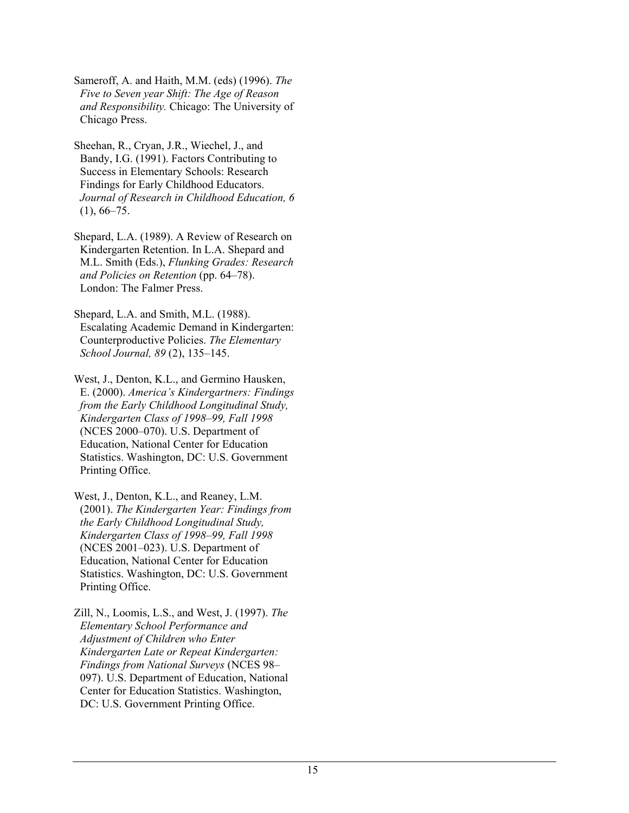Sameroff, A. and Haith, M.M. (eds) (1996). *The Five to Seven year Shift: The Age of Reason and Responsibility.* Chicago: The University of Chicago Press.

Sheehan, R., Cryan, J.R., Wiechel, J., and Bandy, I.G. (1991). Factors Contributing to Success in Elementary Schools: Research Findings for Early Childhood Educators. *Journal of Research in Childhood Education, 6*   $(1), 66-75.$ 

Shepard, L.A. (1989). A Review of Research on Kindergarten Retention. In L.A. Shepard and M.L. Smith (Eds.), *Flunking Grades: Research and Policies on Retention* (pp. 64–78). London: The Falmer Press.

Shepard, L.A. and Smith, M.L. (1988). Escalating Academic Demand in Kindergarten: Counterproductive Policies. *The Elementary School Journal, 89* (2), 135–145.

West, J., Denton, K.L., and Germino Hausken, E. (2000). *America's Kindergartners: Findings from the Early Childhood Longitudinal Study, Kindergarten Class of 1998–99, Fall 1998* (NCES 2000–070). U.S. Department of Education, National Center for Education Statistics. Washington, DC: U.S. Government Printing Office.

West, J., Denton, K.L., and Reaney, L.M. (2001). *The Kindergarten Year: Findings from the Early Childhood Longitudinal Study, Kindergarten Class of 1998–99, Fall 1998* (NCES 2001–023). U.S. Department of Education, National Center for Education Statistics. Washington, DC: U.S. Government Printing Office.

Zill, N., Loomis, L.S., and West, J. (1997). *The Elementary School Performance and Adjustment of Children who Enter Kindergarten Late or Repeat Kindergarten: Findings from National Surveys* (NCES 98– 097). U.S. Department of Education, National Center for Education Statistics. Washington, DC: U.S. Government Printing Office.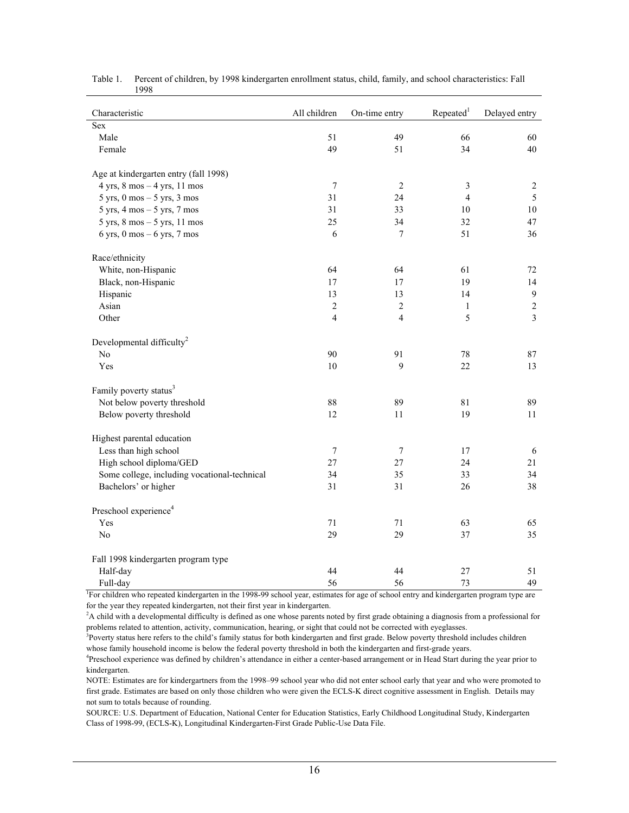| Characteristic                                                | All children     | On-time entry  | Repeated <sup>1</sup> | Delayed entry  |
|---------------------------------------------------------------|------------------|----------------|-----------------------|----------------|
| <b>Sex</b>                                                    |                  |                |                       |                |
| Male                                                          | 51               | 49             | 66                    | 60             |
| Female                                                        | 49               | 51             | 34                    | 40             |
|                                                               |                  |                |                       |                |
| Age at kindergarten entry (fall 1998)                         |                  |                |                       |                |
| $4$ yrs, $8$ mos $-4$ yrs, 11 mos                             | $\boldsymbol{7}$ | $\overline{2}$ | 3                     | $\overline{c}$ |
| $5 \text{ yrs}, 0 \text{ mos} - 5 \text{ yrs}, 3 \text{ mos}$ | 31               | 24             | $\overline{4}$        | 5              |
| $5 \text{ yrs}, 4 \text{ mos} - 5 \text{ yrs}, 7 \text{ mos}$ | 31               | 33             | 10                    | 10             |
| $5$ yrs, $8$ mos $-5$ yrs, $11$ mos                           | 25               | 34             | 32                    | 47             |
| $6$ yrs, $0$ mos $-6$ yrs, $7$ mos                            | 6                | $\overline{7}$ | 51                    | 36             |
| Race/ethnicity                                                |                  |                |                       |                |
| White, non-Hispanic                                           | 64               | 64             | 61                    | 72             |
| Black, non-Hispanic                                           | 17               | 17             | 19                    | 14             |
| Hispanic                                                      | 13               | 13             | 14                    | $\overline{9}$ |
| Asian                                                         | $\sqrt{2}$       | $\overline{2}$ | $\mathbf{1}$          | $\sqrt{2}$     |
| Other                                                         | 4                | $\overline{4}$ | 5                     | $\overline{3}$ |
| Developmental difficulty <sup>2</sup>                         |                  |                |                       |                |
| No                                                            | 90               | 91             | 78                    | 87             |
| Yes                                                           | 10               | 9              | 22                    | 13             |
| Family poverty status <sup>3</sup>                            |                  |                |                       |                |
| Not below poverty threshold                                   | 88               | 89             | 81                    | 89             |
| Below poverty threshold                                       | 12               | 11             | 19                    | 11             |
| Highest parental education                                    |                  |                |                       |                |
| Less than high school                                         | $\boldsymbol{7}$ | 7              | 17                    | $\sqrt{6}$     |
| High school diploma/GED                                       | 27               | 27             | 24                    | 21             |
| Some college, including vocational-technical                  | 34               | 35             | 33                    | 34             |
| Bachelors' or higher                                          | 31               | 31             | 26                    | 38             |
| Preschool experience <sup>4</sup>                             |                  |                |                       |                |
| Yes                                                           | 71               | 71             | 63                    | 65             |
| No                                                            | 29               | 29             | 37                    | 35             |
|                                                               |                  |                |                       |                |
| Fall 1998 kindergarten program type                           |                  |                |                       |                |
| Half-day                                                      | 44               | 44             | 27                    | 51             |
| Full-day                                                      | 56               | 56             | 73                    | 49             |

Table 1. Percent of children, by 1998 kindergarten enrollment status, child, family, and school characteristics: Fall 1998

<sup>1</sup>For children who repeated kindergarten in the 1998-99 school year, estimates for age of school entry and kindergarten program type are for the year they repeated kindergarten, not their first year in kindergarten.

<sup>2</sup>A child with a developmental difficulty is defined as one whose parents noted by first grade obtaining a diagnosis from a professional for problems related to attention, activity, communication, hearing, or sight that could not be corrected with eyeglasses.

<sup>3</sup>Poverty status here refers to the child's family status for both kindergarten and first grade. Below poverty threshold includes children whose family household income is below the federal poverty threshold in both the kindergarten and first-grade years.

Preschool experience was defined by children's attendance in either a center-based arrangement or in Head Start during the year prior to kindergarten.

NOTE: Estimates are for kindergartners from the 1998–99 school year who did not enter school early that year and who were promoted to first grade. Estimates are based on only those children who were given the ECLS-K direct cognitive assessment in English. Details may not sum to totals because of rounding.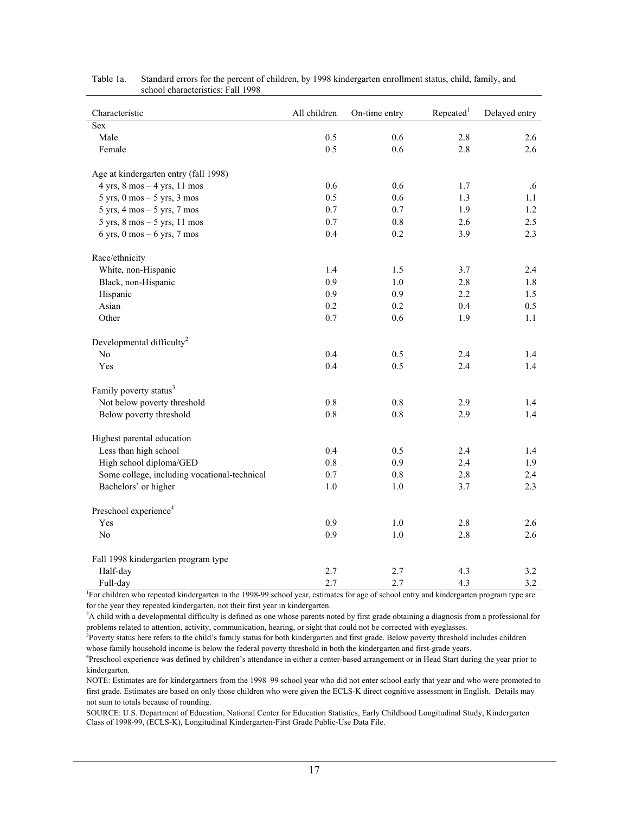| Characteristic                                                 | All children | On-time entry | Repeated <sup>1</sup> | Delayed entry |
|----------------------------------------------------------------|--------------|---------------|-----------------------|---------------|
| <b>Sex</b>                                                     |              |               |                       |               |
| Male                                                           | 0.5          | 0.6           | 2.8                   | 2.6           |
| Female                                                         | 0.5          | 0.6           | 2.8                   | 2.6           |
| Age at kindergarten entry (fall 1998)                          |              |               |                       |               |
| $4$ yrs, $8$ mos $-4$ yrs, $11$ mos                            | 0.6          | 0.6           | 1.7                   | .6            |
| $5 \text{ yrs}, 0 \text{ mos} - 5 \text{ yrs}, 3 \text{ mos}$  | 0.5          | 0.6           | 1.3                   | 1.1           |
| $5 \text{ yrs}, 4 \text{ mos} - 5 \text{ yrs}, 7 \text{ mos}$  | 0.7          | 0.7           | 1.9                   | 1.2           |
| $5 \text{ yrs}, 8 \text{ mos} - 5 \text{ yrs}, 11 \text{ mos}$ | 0.7          | 0.8           | 2.6                   | 2.5           |
| $6$ yrs, $0$ mos $-6$ yrs, $7$ mos                             | 0.4          | 0.2           | 3.9                   | 2.3           |
| Race/ethnicity                                                 |              |               |                       |               |
| White, non-Hispanic                                            | 1.4          | 1.5           | 3.7                   | 2.4           |
| Black, non-Hispanic                                            | 0.9          | 1.0           | 2.8                   | 1.8           |
| Hispanic                                                       | 0.9          | 0.9           | 2.2                   | 1.5           |
| Asian                                                          | 0.2          | 0.2           | 0.4                   | 0.5           |
| Other                                                          | 0.7          | 0.6           | 1.9                   | 1.1           |
| Developmental difficulty <sup>2</sup>                          |              |               |                       |               |
| No                                                             | 0.4          | 0.5           | 2.4                   | 1.4           |
| Yes                                                            | 0.4          | 0.5           | 2.4                   | 1.4           |
| Family poverty status <sup>3</sup>                             |              |               |                       |               |
| Not below poverty threshold                                    | 0.8          | 0.8           | 2.9                   | 1.4           |
| Below poverty threshold                                        | $0.8\,$      | 0.8           | 2.9                   | 1.4           |
| Highest parental education                                     |              |               |                       |               |
| Less than high school                                          | 0.4          | 0.5           | 2.4                   | 1.4           |
| High school diploma/GED                                        | 0.8          | 0.9           | 2.4                   | 1.9           |
| Some college, including vocational-technical                   | 0.7          | $0.8\,$       | 2.8                   | 2.4           |
| Bachelors' or higher                                           | 1.0          | 1.0           | 3.7                   | 2.3           |
| Preschool experience <sup>4</sup>                              |              |               |                       |               |
| Yes                                                            | 0.9          | $1.0\,$       | 2.8                   | 2.6           |
| N <sub>o</sub>                                                 | 0.9          | 1.0           | 2.8                   | 2.6           |
| Fall 1998 kindergarten program type                            |              |               |                       |               |
| Half-day                                                       | 2.7          | 2.7           | 4.3                   | 3.2           |
| Full-day                                                       | 2.7          | 2.7           | 4.3                   | 3.2           |

| Table 1a. | Standard errors for the percent of children, by 1998 kindergarten enrollment status, child, family, and |
|-----------|---------------------------------------------------------------------------------------------------------|
|           | school characteristics: Fall 1998                                                                       |

<sup>1</sup>For children who repeated kindergarten in the 1998-99 school year, estimates for age of school entry and kindergarten program type are for the year they repeated kindergarten, not their first year in kindergarten.

<sup>2</sup>A child with a developmental difficulty is defined as one whose parents noted by first grade obtaining a diagnosis from a professional for problems related to attention, activity, communication, hearing, or sight that could not be corrected with eyeglasses. 3

<sup>3</sup>Poverty status here refers to the child's family status for both kindergarten and first grade. Below poverty threshold includes children whose family household income is below the federal poverty threshold in both the kindergarten and first-grade years.

Preschool experience was defined by children's attendance in either a center-based arrangement or in Head Start during the year prior to kindergarten.

NOTE: Estimates are for kindergartners from the 1998–99 school year who did not enter school early that year and who were promoted to first grade. Estimates are based on only those children who were given the ECLS-K direct cognitive assessment in English. Details may not sum to totals because of rounding.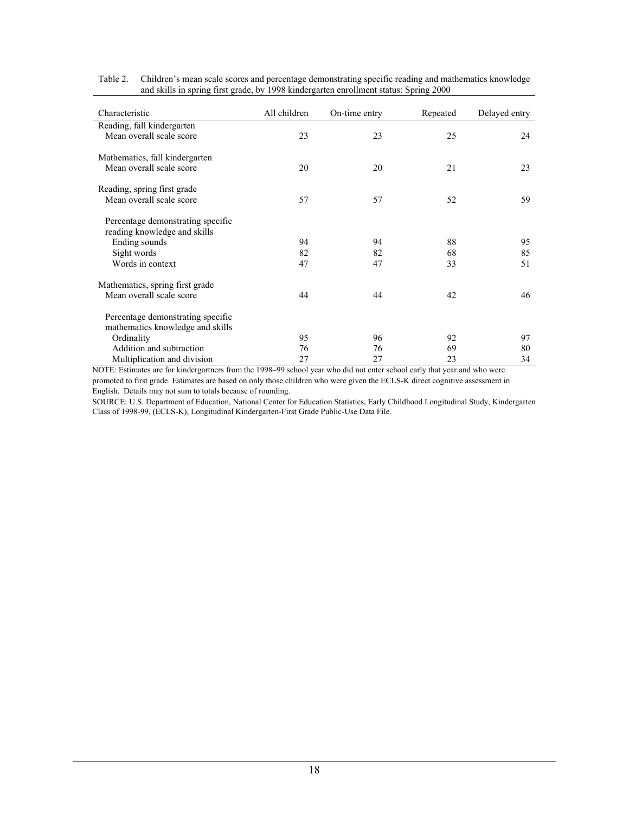| Characteristic                                                        | All children | On-time entry | Repeated | Delayed entry |
|-----------------------------------------------------------------------|--------------|---------------|----------|---------------|
| Reading, fall kindergarten                                            |              |               |          |               |
| Mean overall scale score                                              | 23           | 23            | 25       | 24            |
| Mathematics, fall kindergarten                                        |              |               |          |               |
| Mean overall scale score                                              | 20           | 20            | 21       | 23            |
| Reading, spring first grade                                           |              |               |          |               |
| Mean overall scale score                                              | 57           | 57            | 52       | 59            |
| Percentage demonstrating specific<br>reading knowledge and skills     |              |               |          |               |
| Ending sounds                                                         | 94           | 94            | 88       | 95            |
| Sight words                                                           | 82           | 82            | 68       | 85            |
| Words in context                                                      | 47           | 47            | 33       | 51            |
| Mathematics, spring first grade                                       |              |               |          |               |
| Mean overall scale score                                              | 44           | 44            | 42       | 46            |
| Percentage demonstrating specific<br>mathematics knowledge and skills |              |               |          |               |
| Ordinality                                                            | 95           | 96            | 92       | 97            |
| Addition and subtraction                                              | 76           | 76            | 69       | 80            |
| Multiplication and division                                           | 27           | 27            | 23       | 34            |

Table 2. Children's mean scale scores and percentage demonstrating specific reading and mathematics knowledge and skills in spring first grade, by 1998 kindergarten enrollment status: Spring 2000

NOTE: Estimates are for kindergartners from the 1998–99 school year who did not enter school early that year and who were

promoted to first grade. Estimates are based on only those children who were given the ECLS-K direct cognitive assessment in English. Details may not sum to totals because of rounding.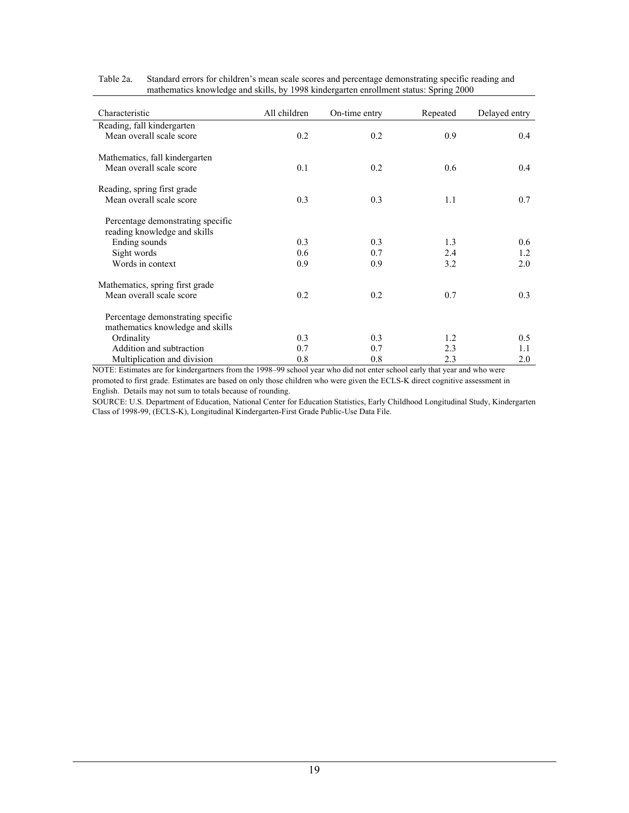| Characteristic                                                        | All children | On-time entry | Repeated | Delayed entry |  |
|-----------------------------------------------------------------------|--------------|---------------|----------|---------------|--|
| Reading, fall kindergarten                                            |              |               |          |               |  |
| Mean overall scale score                                              | 0.2          | 0.2           | 0.9      | 0.4           |  |
| Mathematics, fall kindergarten                                        |              |               |          |               |  |
| Mean overall scale score                                              | 0.1          | 0.2           | 0.6      | 0.4           |  |
| Reading, spring first grade                                           |              |               |          |               |  |
| Mean overall scale score                                              | 0.3          | 0.3           | 1.1      | 0.7           |  |
| Percentage demonstrating specific<br>reading knowledge and skills     |              |               |          |               |  |
| Ending sounds                                                         | 0.3          | 0.3           | 1.3      | 0.6           |  |
| Sight words                                                           | 0.6          | 0.7           | 2.4      | 1.2           |  |
| Words in context                                                      | 0.9          | 0.9           | 3.2      | 2.0           |  |
| Mathematics, spring first grade                                       |              |               |          |               |  |
| Mean overall scale score                                              | 0.2          | 0.2           | 0.7      | 0.3           |  |
| Percentage demonstrating specific<br>mathematics knowledge and skills |              |               |          |               |  |
| Ordinality                                                            | 0.3          | 0.3           | 1.2      | 0.5           |  |
| Addition and subtraction                                              | 0.7          | 0.7           | 2.3      | 1.1           |  |
| Multiplication and division                                           | 0.8          | 0.8           | 2.3      | 2.0           |  |

Table 2a. Standard errors for children's mean scale scores and percentage demonstrating specific reading and mathematics knowledge and skills, by 1998 kindergarten enrollment status: Spring 2000

NOTE: Estimates are for kindergartners from the 1998–99 school year who did not enter school early that year and who were promoted to first grade. Estimates are based on only those children who were given the ECLS-K direct cognitive assessment in

English. Details may not sum to totals because of rounding.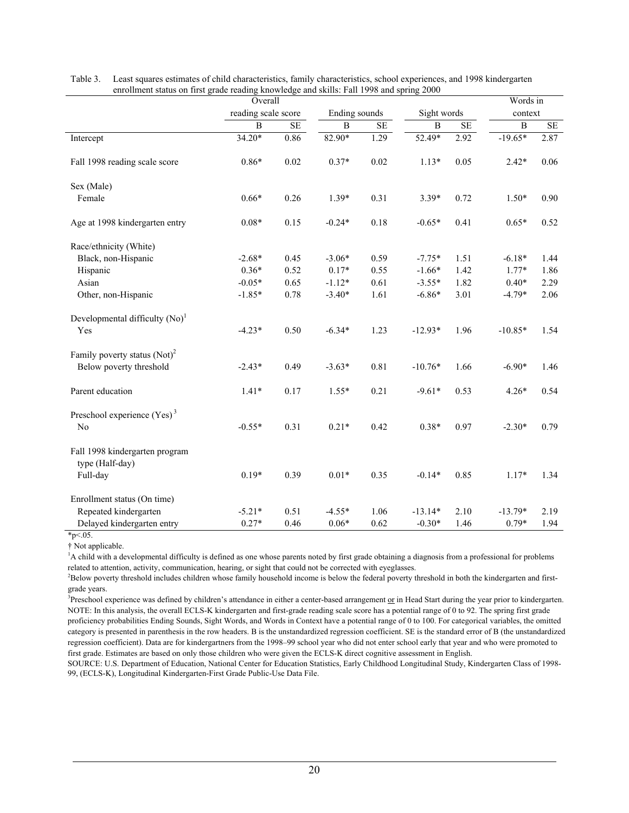|                                                   | Overall             |           |                |      |                |           | Words in       |      |
|---------------------------------------------------|---------------------|-----------|----------------|------|----------------|-----------|----------------|------|
|                                                   | reading scale score |           | Ending sounds  |      | Sight words    |           | context        |      |
|                                                   | $\overline{B}$      | <b>SE</b> | $\overline{B}$ | SE   | $\overline{B}$ | <b>SE</b> | $\overline{B}$ | SE   |
| Intercept                                         | 34.20*              | 0.86      | 82.90*         | 1.29 | 52.49*         | 2.92      | $-19.65*$      | 2.87 |
| Fall 1998 reading scale score                     | $0.86*$             | 0.02      | $0.37*$        | 0.02 | $1.13*$        | 0.05      | $2.42*$        | 0.06 |
| Sex (Male)                                        |                     |           |                |      |                |           |                |      |
| Female                                            | $0.66*$             | 0.26      | $1.39*$        | 0.31 | $3.39*$        | 0.72      | $1.50*$        | 0.90 |
| Age at 1998 kindergarten entry                    | $0.08*$             | 0.15      | $-0.24*$       | 0.18 | $-0.65*$       | 0.41      | $0.65*$        | 0.52 |
| Race/ethnicity (White)                            |                     |           |                |      |                |           |                |      |
| Black, non-Hispanic                               | $-2.68*$            | 0.45      | $-3.06*$       | 0.59 | $-7.75*$       | 1.51      | $-6.18*$       | 1.44 |
| Hispanic                                          | $0.36*$             | 0.52      | $0.17*$        | 0.55 | $-1.66*$       | 1.42      | $1.77*$        | 1.86 |
| Asian                                             | $-0.05*$            | 0.65      | $-1.12*$       | 0.61 | $-3.55*$       | 1.82      | $0.40*$        | 2.29 |
| Other, non-Hispanic                               | $-1.85*$            | 0.78      | $-3.40*$       | 1.61 | $-6.86*$       | 3.01      | $-4.79*$       | 2.06 |
| Developmental difficulty $(No)^1$                 |                     |           |                |      |                |           |                |      |
| Yes                                               | $-4.23*$            | 0.50      | $-6.34*$       | 1.23 | $-12.93*$      | 1.96      | $-10.85*$      | 1.54 |
| Family poverty status $(Not)^2$                   |                     |           |                |      |                |           |                |      |
| Below poverty threshold                           | $-2.43*$            | 0.49      | $-3.63*$       | 0.81 | $-10.76*$      | 1.66      | $-6.90*$       | 1.46 |
| Parent education                                  | $1.41*$             | 0.17      | $1.55*$        | 0.21 | $-9.61*$       | 0.53      | $4.26*$        | 0.54 |
| Preschool experience $(Yes)^3$                    |                     |           |                |      |                |           |                |      |
| No                                                | $-0.55*$            | 0.31      | $0.21*$        | 0.42 | $0.38*$        | 0.97      | $-2.30*$       | 0.79 |
| Fall 1998 kindergarten program<br>type (Half-day) |                     |           |                |      |                |           |                |      |
| Full-day                                          | $0.19*$             | 0.39      | $0.01*$        | 0.35 | $-0.14*$       | 0.85      | $1.17*$        | 1.34 |
| Enrollment status (On time)                       |                     |           |                |      |                |           |                |      |
| Repeated kindergarten                             | $-5.21*$            | 0.51      | $-4.55*$       | 1.06 | $-13.14*$      | 2.10      | $-13.79*$      | 2.19 |
| Delayed kindergarten entry                        | $0.27*$             | 0.46      | $0.06*$        | 0.62 | $-0.30*$       | 1.46      | $0.79*$        | 1.94 |

Table 3. Least squares estimates of child characteristics, family characteristics, school experiences, and 1998 kindergarten enrollment status on first grade reading knowledge and skills: Fall 1998 and spring 2000

 $*_{p<.05}$ .

† Not applicable.

<sup>1</sup>A child with a developmental difficulty is defined as one whose parents noted by first grade obtaining a diagnosis from a professional for problems related to attention, activity, communication, hearing, or sight that could not be corrected with eyeglasses. 2

<sup>2</sup>Below poverty threshold includes children whose family household income is below the federal poverty threshold in both the kindergarten and firstgrade years.

<sup>3</sup> Preschool experience was defined by children's attendance in either a center-based arrangement  $or$  in Head Start during the year prior to kindergarten.</u> NOTE: In this analysis, the overall ECLS-K kindergarten and first-grade reading scale score has a potential range of 0 to 92. The spring first grade proficiency probabilities Ending Sounds, Sight Words, and Words in Context have a potential range of 0 to 100. For categorical variables, the omitted category is presented in parenthesis in the row headers. B is the unstandardized regression coefficient. SE is the standard error of B (the unstandardized regression coefficient). Data are for kindergartners from the 1998–99 school year who did not enter school early that year and who were promoted to first grade. Estimates are based on only those children who were given the ECLS-K direct cognitive assessment in English.